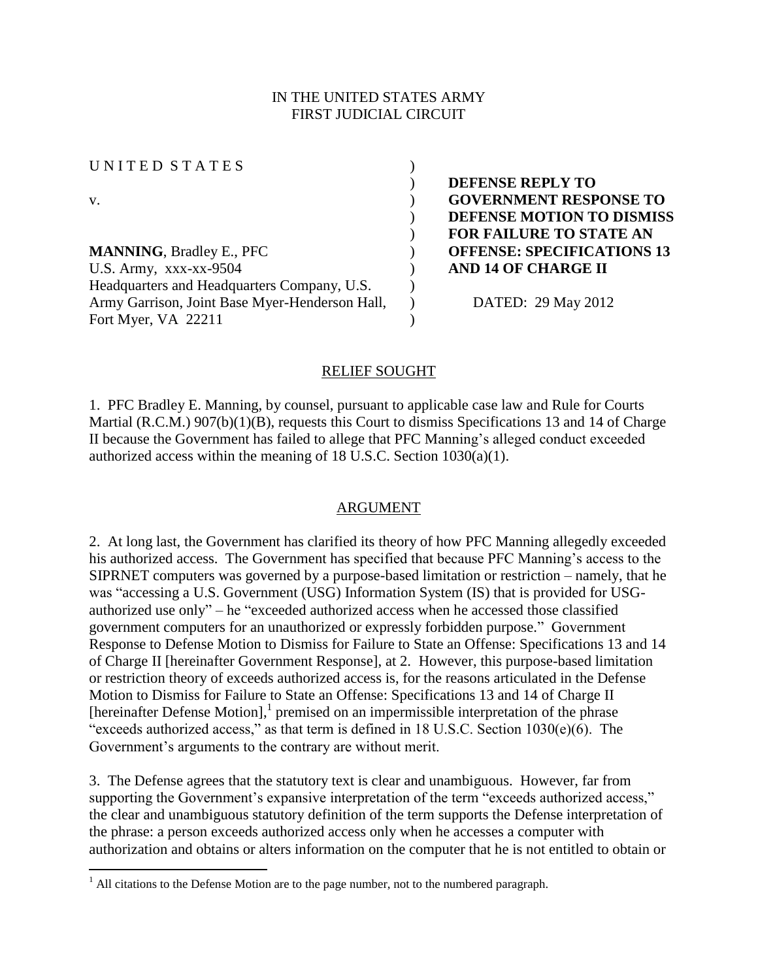## IN THE UNITED STATES ARMY FIRST JUDICIAL CIRCUIT

UNITED STATES (

 $\overline{a}$ 

**MANNING**, Bradley E., PFC ) **OFFENSE: SPECIFICATIONS 13**  U.S. Army, xxx-xx-9504 ) **AND 14 OF CHARGE II** Headquarters and Headquarters Company, U.S. Army Garrison, Joint Base Myer-Henderson Hall, Fort Myer, VA 22211

) **DEFENSE REPLY TO**  v. ) **GOVERNMENT RESPONSE TO**  ) **DEFENSE MOTION TO DISMISS**  ) **FOR FAILURE TO STATE AN** 

) DATED: 29 May 2012

#### RELIEF SOUGHT

)

)

1. PFC Bradley E. Manning, by counsel, pursuant to applicable case law and Rule for Courts Martial (R.C.M.) 907(b)(1)(B), requests this Court to dismiss Specifications 13 and 14 of Charge II because the Government has failed to allege that PFC Manning's alleged conduct exceeded authorized access within the meaning of 18 U.S.C. Section 1030(a)(1).

## ARGUMENT

2. At long last, the Government has clarified its theory of how PFC Manning allegedly exceeded his authorized access. The Government has specified that because PFC Manning's access to the SIPRNET computers was governed by a purpose-based limitation or restriction – namely, that he was "accessing a U.S. Government (USG) Information System (IS) that is provided for USGauthorized use only" – he "exceeded authorized access when he accessed those classified government computers for an unauthorized or expressly forbidden purpose." Government Response to Defense Motion to Dismiss for Failure to State an Offense: Specifications 13 and 14 of Charge II [hereinafter Government Response], at 2. However, this purpose-based limitation or restriction theory of exceeds authorized access is, for the reasons articulated in the Defense Motion to Dismiss for Failure to State an Offense: Specifications 13 and 14 of Charge II [hereinafter Defense Motion],<sup>1</sup> premised on an impermissible interpretation of the phrase "exceeds authorized access," as that term is defined in 18 U.S.C. Section  $1030(e)(6)$ . The Government's arguments to the contrary are without merit.

3. The Defense agrees that the statutory text is clear and unambiguous. However, far from supporting the Government's expansive interpretation of the term "exceeds authorized access," the clear and unambiguous statutory definition of the term supports the Defense interpretation of the phrase: a person exceeds authorized access only when he accesses a computer with authorization and obtains or alters information on the computer that he is not entitled to obtain or

 $<sup>1</sup>$  All citations to the Defense Motion are to the page number, not to the numbered paragraph.</sup>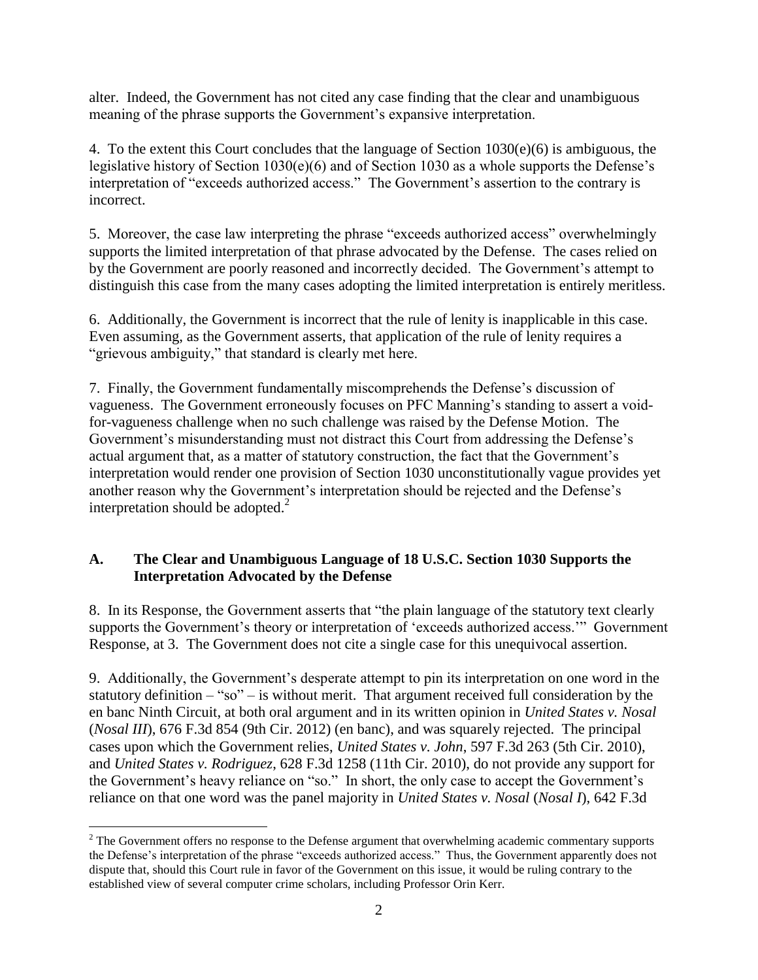alter. Indeed, the Government has not cited any case finding that the clear and unambiguous meaning of the phrase supports the Government's expansive interpretation.

4. To the extent this Court concludes that the language of Section  $1030(e)(6)$  is ambiguous, the legislative history of Section 1030(e)(6) and of Section 1030 as a whole supports the Defense's interpretation of "exceeds authorized access." The Government's assertion to the contrary is incorrect.

5. Moreover, the case law interpreting the phrase "exceeds authorized access" overwhelmingly supports the limited interpretation of that phrase advocated by the Defense. The cases relied on by the Government are poorly reasoned and incorrectly decided. The Government's attempt to distinguish this case from the many cases adopting the limited interpretation is entirely meritless.

6. Additionally, the Government is incorrect that the rule of lenity is inapplicable in this case. Even assuming, as the Government asserts, that application of the rule of lenity requires a "grievous ambiguity," that standard is clearly met here.

7. Finally, the Government fundamentally miscomprehends the Defense's discussion of vagueness. The Government erroneously focuses on PFC Manning's standing to assert a voidfor-vagueness challenge when no such challenge was raised by the Defense Motion. The Government's misunderstanding must not distract this Court from addressing the Defense's actual argument that, as a matter of statutory construction, the fact that the Government's interpretation would render one provision of Section 1030 unconstitutionally vague provides yet another reason why the Government's interpretation should be rejected and the Defense's interpretation should be adopted. $^{2}$ 

## **A. The Clear and Unambiguous Language of 18 U.S.C. Section 1030 Supports the Interpretation Advocated by the Defense**

8. In its Response, the Government asserts that "the plain language of the statutory text clearly supports the Government's theory or interpretation of 'exceeds authorized access.'" Government Response, at 3. The Government does not cite a single case for this unequivocal assertion.

9. Additionally, the Government's desperate attempt to pin its interpretation on one word in the statutory definition  $-$  "so"  $-$  is without merit. That argument received full consideration by the en banc Ninth Circuit, at both oral argument and in its written opinion in *United States v. Nosal*  (*Nosal III*), 676 F.3d 854 (9th Cir. 2012) (en banc), and was squarely rejected. The principal cases upon which the Government relies, *United States v. John*, 597 F.3d 263 (5th Cir. 2010), and *United States v. Rodriguez*, 628 F.3d 1258 (11th Cir. 2010), do not provide any support for the Government's heavy reliance on "so." In short, the only case to accept the Government's reliance on that one word was the panel majority in *United States v. Nosal* (*Nosal I*), 642 F.3d

 $\overline{a}$ 

<sup>&</sup>lt;sup>2</sup> The Government offers no response to the Defense argument that overwhelming academic commentary supports the Defense's interpretation of the phrase "exceeds authorized access." Thus, the Government apparently does not dispute that, should this Court rule in favor of the Government on this issue, it would be ruling contrary to the established view of several computer crime scholars, including Professor Orin Kerr.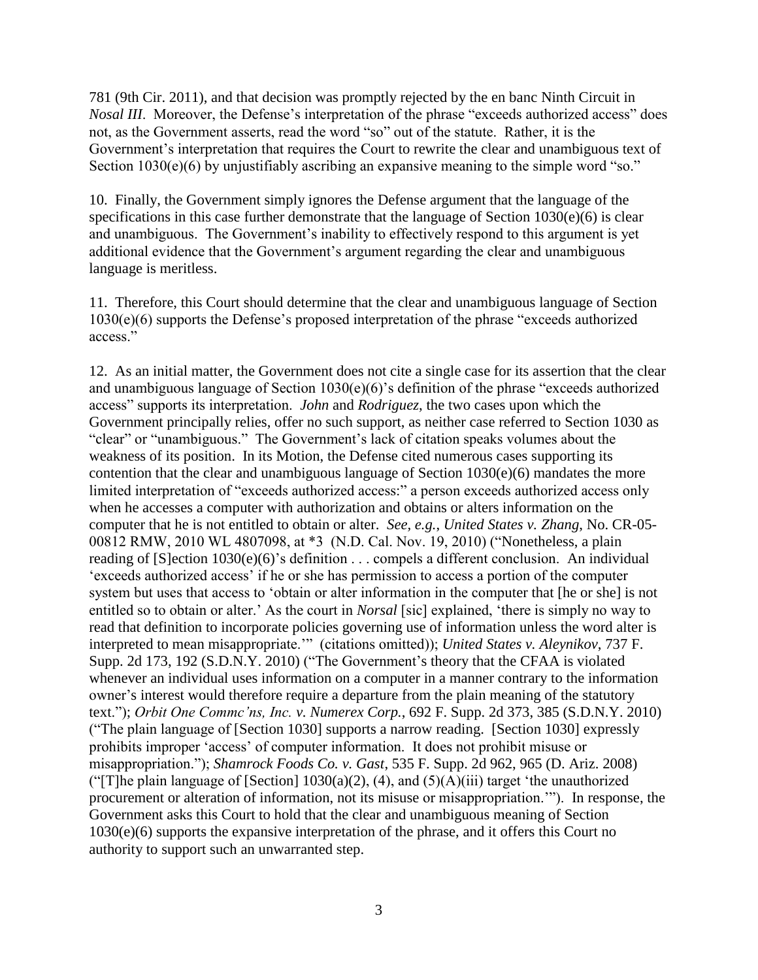781 (9th Cir. 2011), and that decision was promptly rejected by the en banc Ninth Circuit in *Nosal III.* Moreover, the Defense's interpretation of the phrase "exceeds authorized access" does not, as the Government asserts, read the word "so" out of the statute. Rather, it is the Government's interpretation that requires the Court to rewrite the clear and unambiguous text of Section 1030(e)(6) by unjustifiably ascribing an expansive meaning to the simple word "so."

10. Finally, the Government simply ignores the Defense argument that the language of the specifications in this case further demonstrate that the language of Section 1030(e)(6) is clear and unambiguous. The Government's inability to effectively respond to this argument is yet additional evidence that the Government's argument regarding the clear and unambiguous language is meritless.

11. Therefore, this Court should determine that the clear and unambiguous language of Section 1030(e)(6) supports the Defense's proposed interpretation of the phrase "exceeds authorized access."

12. As an initial matter, the Government does not cite a single case for its assertion that the clear and unambiguous language of Section 1030(e)(6)'s definition of the phrase "exceeds authorized access" supports its interpretation. *John* and *Rodriguez*, the two cases upon which the Government principally relies, offer no such support, as neither case referred to Section 1030 as "clear" or "unambiguous." The Government's lack of citation speaks volumes about the weakness of its position. In its Motion, the Defense cited numerous cases supporting its contention that the clear and unambiguous language of Section 1030(e)(6) mandates the more limited interpretation of "exceeds authorized access:" a person exceeds authorized access only when he accesses a computer with authorization and obtains or alters information on the computer that he is not entitled to obtain or alter. *See, e.g.*, *United States v. Zhang*, No. CR-05- 00812 RMW, 2010 WL 4807098, at \*3 (N.D. Cal. Nov. 19, 2010) ("Nonetheless, a plain reading of [\[S\]ection 1030\(e\)\(6\)'](http://www.westlaw.com/Find/Default.wl?rs=dfa1.0&vr=2.0&DB=1000546&DocName=18USCAS1030&FindType=L&ReferencePositionType=T&ReferencePosition=SP_71db000052462)s definition . . . compels a different conclusion. An individual 'exceeds authorized access' if he or she has permission to access a portion of the computer system but uses that access to 'obtain or alter information in the computer that [he or she] is not entitled so to obtain or alter.' As the court in *Norsal* [sic] explained, 'there is simply no way to read that definition to incorporate policies governing use of information unless the word alter is interpreted to mean misappropriate.'" (citations omitted)); *United States v. Aleynikov*, 737 F. Supp. 2d 173, 192 (S.D.N.Y. 2010) ("The Government's theory that the CFAA is violated whenever an individual uses information on a computer in a manner contrary to the information owner's interest would therefore require a departure from the plain meaning of the statutory text."); *Orbit One Commc'ns, Inc. v. Numerex Corp.*, 692 F. Supp. 2d 373, 385 (S.D.N.Y. 2010) ("The plain language of [Section 1030] supports a narrow reading. [Section 1030] expressly prohibits improper 'access' of computer information. It does not prohibit misuse or misappropriation."); *Shamrock Foods Co. v. Gast*, 535 F. Supp. 2d 962, 965 (D. Ariz. 2008) ("[T]he plain language of [Section]  $1030(a)(2)$ , (4), and (5)(A)(iii) target 'the unauthorized procurement or alteration of information, not its misuse or misappropriation.'"). In response, the Government asks this Court to hold that the clear and unambiguous meaning of Section 1030(e)(6) supports the expansive interpretation of the phrase, and it offers this Court no authority to support such an unwarranted step.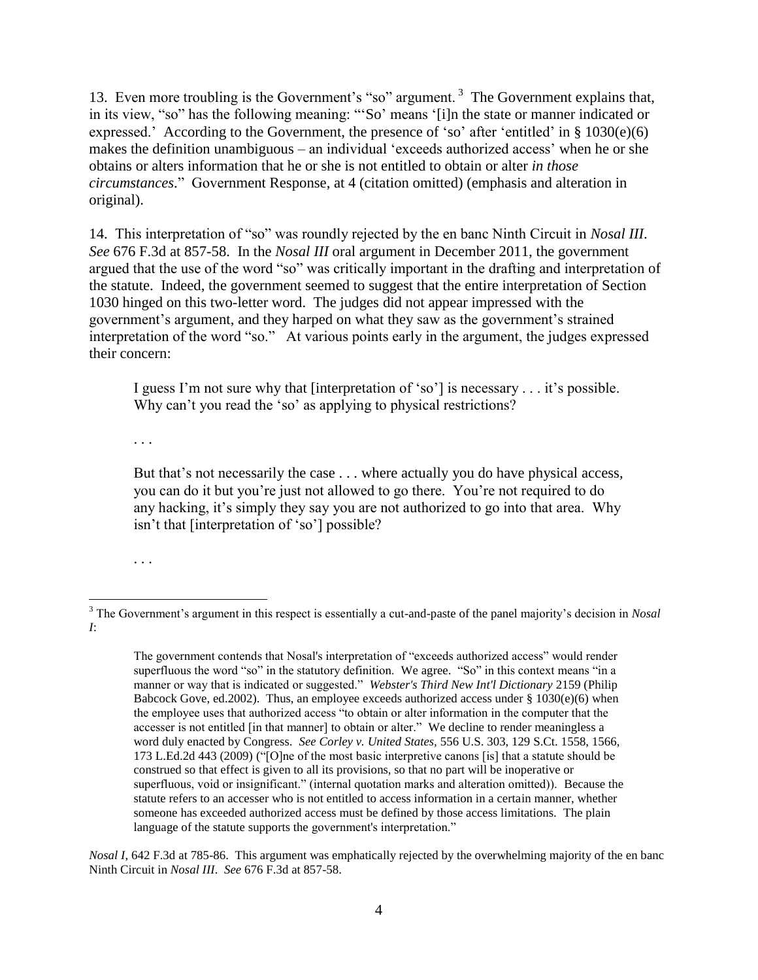13. Even more troubling is the Government's "so" argument.<sup>3</sup> The Government explains that, in its view, "so" has the following meaning: "'So' means '[i]n the state or manner indicated or expressed.' According to the Government, the presence of 'so' after 'entitled' in § 1030(e)(6) makes the definition unambiguous – an individual 'exceeds authorized access' when he or she obtains or alters information that he or she is not entitled to obtain or alter *in those circumstances*." Government Response, at 4 (citation omitted) (emphasis and alteration in original).

14. This interpretation of "so" was roundly rejected by the en banc Ninth Circuit in *Nosal III*. *See* 676 F.3d at 857-58. In the *Nosal III* oral argument in December 2011, the government argued that the use of the word "so" was critically important in the drafting and interpretation of the statute. Indeed, the government seemed to suggest that the entire interpretation of Section 1030 hinged on this two-letter word. The judges did not appear impressed with the government's argument, and they harped on what they saw as the government's strained interpretation of the word "so." At various points early in the argument, the judges expressed their concern:

I guess I'm not sure why that [interpretation of 'so'] is necessary . . . it's possible. Why can't you read the 'so' as applying to physical restrictions?

. . .

But that's not necessarily the case . . . where actually you do have physical access, you can do it but you're just not allowed to go there. You're not required to do any hacking, it's simply they say you are not authorized to go into that area. Why isn't that [interpretation of 'so'] possible?

. . .

 $\overline{a}$ <sup>3</sup> The Government's argument in this respect is essentially a cut-and-paste of the panel majority's decision in *Nosal I*:

The government contends that Nosal's interpretation of "exceeds authorized access" would render superfluous the word "so" in the statutory definition. We agree. "So" in this context means "in a manner or way that is indicated or suggested." *Webster's Third New Int'l Dictionary* 2159 (Philip Babcock Gove, ed.2002). Thus, an employee exceeds authorized access under  $\S 1030(e)(6)$  when the employee uses that authorized access "to obtain or alter information in the computer that the accesser is not entitled [in that manner] to obtain or alter." We decline to render meaningless a word duly enacted by Congress. *See Corley v. United States,* [556 U.S. 303, 129 S.Ct. 1558, 1566,](http://web2.westlaw.com/find/default.wl?mt=208&db=708&tc=-1&rp=%2ffind%2fdefault.wl&findtype=Y&ordoc=2025179291&serialnum=2018540889&vr=2.0&fn=_top&sv=Split&tf=-1&referencepositiontype=S&pbc=6D19C813&referenceposition=1566&rs=WLW12.04)  [173 L.Ed.2d 443 \(2009\)](http://web2.westlaw.com/find/default.wl?mt=208&db=708&tc=-1&rp=%2ffind%2fdefault.wl&findtype=Y&ordoc=2025179291&serialnum=2018540889&vr=2.0&fn=_top&sv=Split&tf=-1&referencepositiontype=S&pbc=6D19C813&referenceposition=1566&rs=WLW12.04) ("[O]ne of the most basic interpretive canons [is] that a statute should be construed so that effect is given to all its provisions, so that no part will be inoperative or superfluous, void or insignificant." (internal quotation marks and alteration omitted)). Because the statute refers to an accesser who is not entitled to access information in a certain manner, whether someone has exceeded authorized access must be defined by those access limitations. The plain language of the statute supports the government's interpretation."

*Nosal I*, 642 F.3d at 785-86. This argument was emphatically rejected by the overwhelming majority of the en banc Ninth Circuit in *Nosal III*. *See* 676 F.3d at 857-58.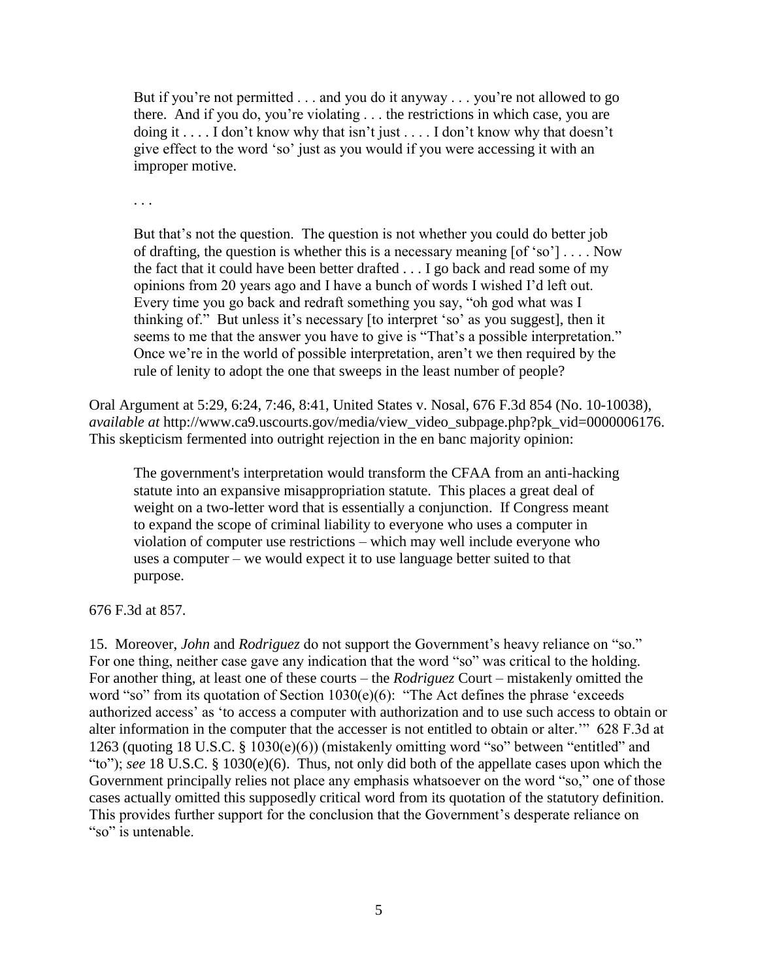But if you're not permitted . . . and you do it anyway . . . you're not allowed to go there. And if you do, you're violating . . . the restrictions in which case, you are doing it . . . . I don't know why that isn't just . . . . I don't know why that doesn't give effect to the word 'so' just as you would if you were accessing it with an improper motive.

. . .

But that's not the question. The question is not whether you could do better job of drafting, the question is whether this is a necessary meaning  $[of 'so'] \dots Now$ the fact that it could have been better drafted . . . I go back and read some of my opinions from 20 years ago and I have a bunch of words I wished I'd left out. Every time you go back and redraft something you say, "oh god what was I thinking of." But unless it's necessary [to interpret 'so' as you suggest], then it seems to me that the answer you have to give is "That's a possible interpretation." Once we're in the world of possible interpretation, aren't we then required by the rule of lenity to adopt the one that sweeps in the least number of people?

Oral Argument at 5:29, 6:24, 7:46, 8:41, United States v. Nosal, 676 F.3d 854 (No. 10-10038), *available at* http://www.ca9.uscourts.gov/media/view\_video\_subpage.php?pk\_vid=0000006176. This skepticism fermented into outright rejection in the en banc majority opinion:

The government's interpretation would transform the CFAA from an anti-hacking statute into an expansive misappropriation statute. This places a great deal of weight on a two-letter word that is essentially a conjunction. If Congress meant to expand the scope of criminal liability to everyone who uses a computer in violation of computer use restrictions – which may well include everyone who uses a computer – we would expect it to use language better suited to that purpose.

676 F.3d at 857.

15. Moreover, *John* and *Rodriguez* do not support the Government's heavy reliance on "so." For one thing, neither case gave any indication that the word "so" was critical to the holding. For another thing, at least one of these courts – the *Rodriguez* Court – mistakenly omitted the word "so" from its quotation of Section 1030(e)(6): "The Act defines the phrase 'exceeds authorized access' as 'to access a computer with authorization and to use such access to obtain or alter information in the computer that the accesser is not entitled to obtain or alter.'" 628 F.3d at 1263 (quoting 18 U.S.C. § 1030(e)(6)) (mistakenly omitting word "so" between "entitled" and "to"); *see* 18 U.S.C. § 1030(e)(6). Thus, not only did both of the appellate cases upon which the Government principally relies not place any emphasis whatsoever on the word "so," one of those cases actually omitted this supposedly critical word from its quotation of the statutory definition. This provides further support for the conclusion that the Government's desperate reliance on "so" is untenable.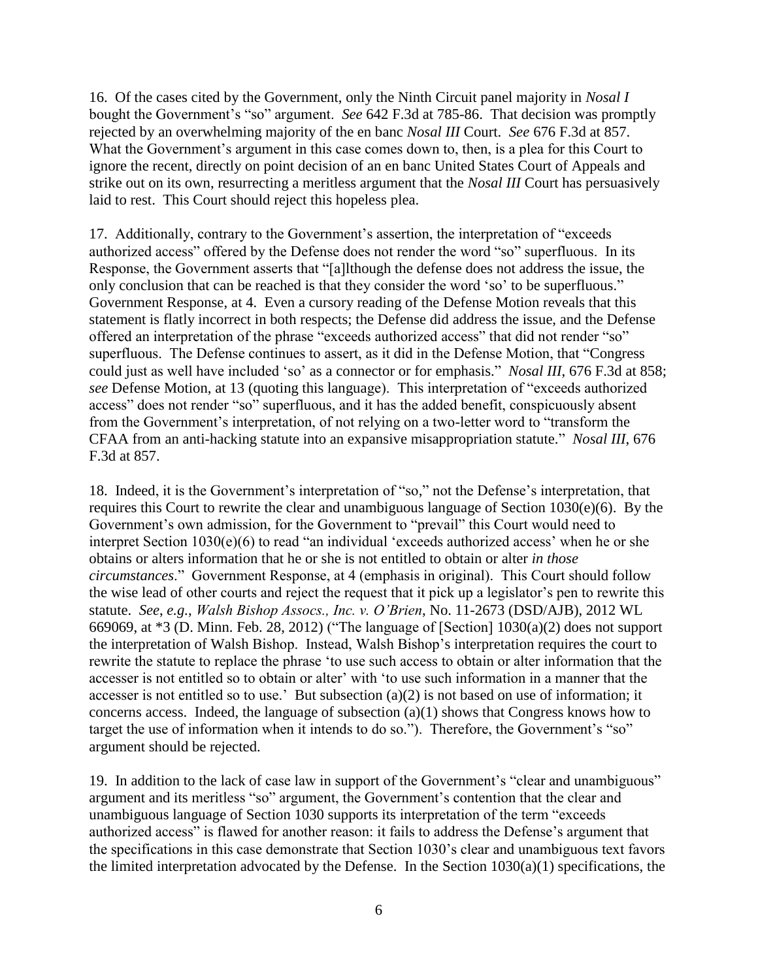16. Of the cases cited by the Government, only the Ninth Circuit panel majority in *Nosal I* bought the Government's "so" argument. *See* 642 F.3d at 785-86. That decision was promptly rejected by an overwhelming majority of the en banc *Nosal III* Court. *See* 676 F.3d at 857. What the Government's argument in this case comes down to, then, is a plea for this Court to ignore the recent, directly on point decision of an en banc United States Court of Appeals and strike out on its own, resurrecting a meritless argument that the *Nosal III* Court has persuasively laid to rest. This Court should reject this hopeless plea.

17. Additionally, contrary to the Government's assertion, the interpretation of "exceeds authorized access" offered by the Defense does not render the word "so" superfluous. In its Response, the Government asserts that "[a]lthough the defense does not address the issue, the only conclusion that can be reached is that they consider the word 'so' to be superfluous." Government Response, at 4. Even a cursory reading of the Defense Motion reveals that this statement is flatly incorrect in both respects; the Defense did address the issue, and the Defense offered an interpretation of the phrase "exceeds authorized access" that did not render "so" superfluous. The Defense continues to assert, as it did in the Defense Motion, that "Congress could just as well have included 'so' as a connector or for emphasis." *Nosal III*, 676 F.3d at 858; *see* Defense Motion, at 13 (quoting this language). This interpretation of "exceeds authorized access" does not render "so" superfluous, and it has the added benefit, conspicuously absent from the Government's interpretation, of not relying on a two-letter word to "transform the CFAA from an anti-hacking statute into an expansive misappropriation statute." *Nosal III*, 676 F.3d at 857.

18. Indeed, it is the Government's interpretation of "so," not the Defense's interpretation, that requires this Court to rewrite the clear and unambiguous language of Section 1030(e)(6). By the Government's own admission, for the Government to "prevail" this Court would need to interpret Section 1030(e)(6) to read "an individual 'exceeds authorized access' when he or she obtains or alters information that he or she is not entitled to obtain or alter *in those circumstances*." Government Response, at 4 (emphasis in original). This Court should follow the wise lead of other courts and reject the request that it pick up a legislator's pen to rewrite this statute. *See*, *e.g.*, *Walsh Bishop Assocs., Inc. v. O'Brien*, No. 11-2673 (DSD/AJB), 2012 WL 669069, at \*3 (D. Minn. Feb. 28, 2012) ("The language of [Section] 1030(a)(2) does not support the interpretation of Walsh Bishop. Instead, Walsh Bishop's interpretation requires the court to rewrite the statute to replace the phrase 'to use such access to obtain or alter information that the accesser is not entitled so to obtain or alter' with 'to use such information in a manner that the accesser is not entitled so to use.' But subsection (a)(2) is not based on use of information; it concerns access. Indeed, the language of subsection (a)(1) shows that Congress knows how to target the use of information when it intends to do so."). Therefore, the Government's "so" argument should be rejected.

19. In addition to the lack of case law in support of the Government's "clear and unambiguous" argument and its meritless "so" argument, the Government's contention that the clear and unambiguous language of Section 1030 supports its interpretation of the term "exceeds authorized access" is flawed for another reason: it fails to address the Defense's argument that the specifications in this case demonstrate that Section 1030's clear and unambiguous text favors the limited interpretation advocated by the Defense. In the Section  $1030(a)(1)$  specifications, the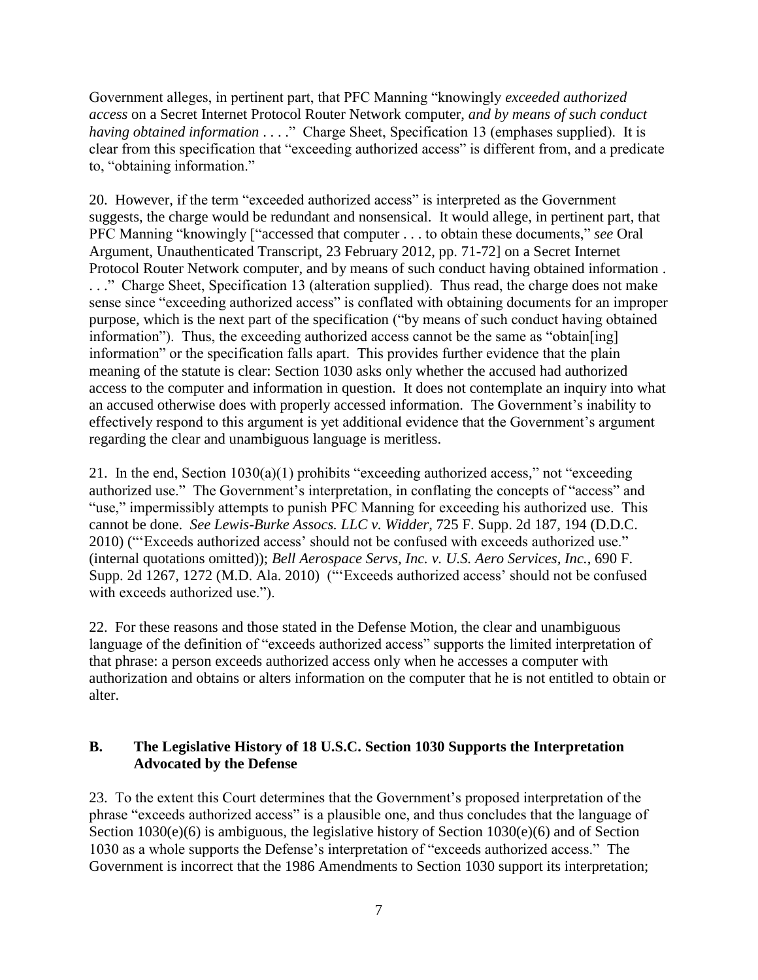Government alleges, in pertinent part, that PFC Manning "knowingly *exceeded authorized access* on a Secret Internet Protocol Router Network computer, *and by means of such conduct having obtained information* . . . ." Charge Sheet, Specification 13 (emphases supplied). It is clear from this specification that "exceeding authorized access" is different from, and a predicate to, "obtaining information."

20. However, if the term "exceeded authorized access" is interpreted as the Government suggests, the charge would be redundant and nonsensical. It would allege, in pertinent part, that PFC Manning "knowingly ["accessed that computer . . . to obtain these documents," *see* Oral Argument, Unauthenticated Transcript, 23 February 2012, pp. 71-72] on a Secret Internet Protocol Router Network computer, and by means of such conduct having obtained information . . . ." Charge Sheet, Specification 13 (alteration supplied). Thus read, the charge does not make sense since "exceeding authorized access" is conflated with obtaining documents for an improper purpose, which is the next part of the specification ("by means of such conduct having obtained information"). Thus, the exceeding authorized access cannot be the same as "obtain[ing] information" or the specification falls apart. This provides further evidence that the plain meaning of the statute is clear: Section 1030 asks only whether the accused had authorized access to the computer and information in question. It does not contemplate an inquiry into what an accused otherwise does with properly accessed information. The Government's inability to effectively respond to this argument is yet additional evidence that the Government's argument regarding the clear and unambiguous language is meritless.

21. In the end, Section 1030(a)(1) prohibits "exceeding authorized access," not "exceeding authorized use." The Government's interpretation, in conflating the concepts of "access" and "use," impermissibly attempts to punish PFC Manning for exceeding his authorized use. This cannot be done. *See Lewis-Burke Assocs. LLC v. Widder*, 725 F. Supp. 2d 187, 194 (D.D.C. 2010) ("'Exceeds authorized access' should not be confused with exceeds authorized use." (internal quotations omitted)); *Bell Aerospace Servs, Inc. v. U.S. Aero Services, Inc.*, 690 F. Supp. 2d 1267, 1272 (M.D. Ala. 2010) ("'Exceeds authorized access' should not be confused with exceeds authorized use.").

22. For these reasons and those stated in the Defense Motion, the clear and unambiguous language of the definition of "exceeds authorized access" supports the limited interpretation of that phrase: a person exceeds authorized access only when he accesses a computer with authorization and obtains or alters information on the computer that he is not entitled to obtain or alter.

## **B. The Legislative History of 18 U.S.C. Section 1030 Supports the Interpretation Advocated by the Defense**

23. To the extent this Court determines that the Government's proposed interpretation of the phrase "exceeds authorized access" is a plausible one, and thus concludes that the language of Section 1030(e)(6) is ambiguous, the legislative history of Section 1030(e)(6) and of Section 1030 as a whole supports the Defense's interpretation of "exceeds authorized access." The Government is incorrect that the 1986 Amendments to Section 1030 support its interpretation;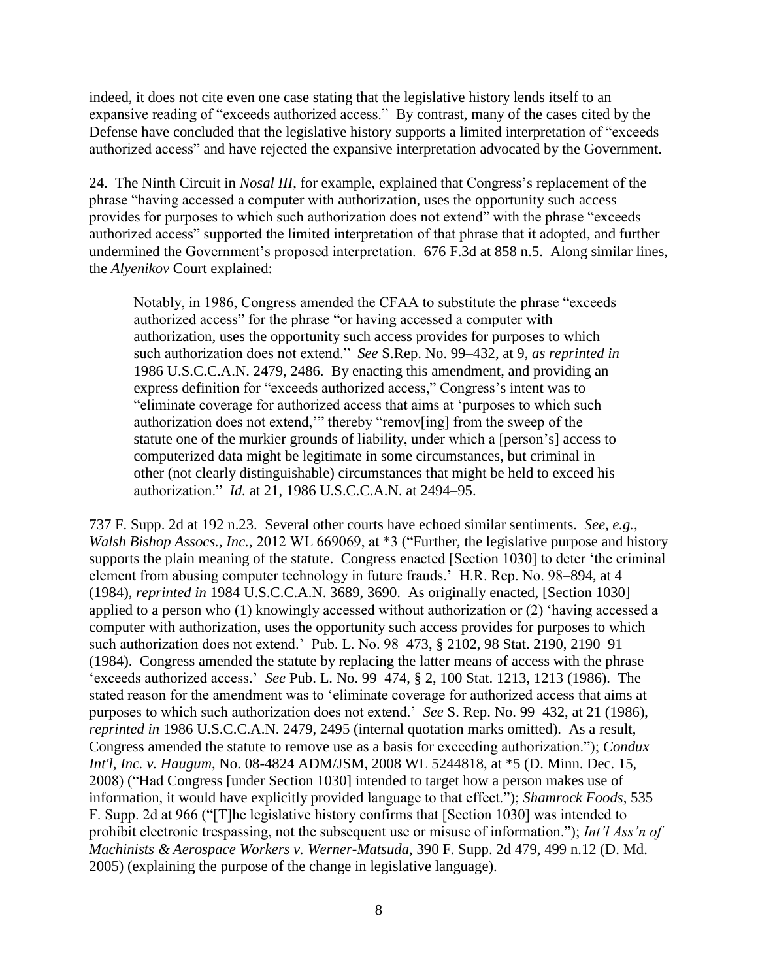indeed, it does not cite even one case stating that the legislative history lends itself to an expansive reading of "exceeds authorized access." By contrast, many of the cases cited by the Defense have concluded that the legislative history supports a limited interpretation of "exceeds authorized access" and have rejected the expansive interpretation advocated by the Government.

24. The Ninth Circuit in *Nosal III*, for example, explained that Congress's replacement of the phrase "having accessed a computer with authorization, uses the opportunity such access provides for purposes to which such authorization does not extend" with the phrase "exceeds authorized access" supported the limited interpretation of that phrase that it adopted, and further undermined the Government's proposed interpretation. 676 F.3d at 858 n.5. Along similar lines, the *Alyenikov* Court explained:

Notably, in 1986, Congress amended the CFAA to substitute the phrase "exceeds authorized access" for the phrase "or having accessed a computer with authorization, uses the opportunity such access provides for purposes to which such authorization does not extend." *See* S.Rep. No. 99–432, at 9, *as reprinted in* 1986 U.S.C.C.A.N. 2479, 2486. By enacting this amendment, and providing an express definition for "exceeds authorized access," Congress's intent was to "eliminate coverage for authorized access that aims at 'purposes to which such authorization does not extend,'" thereby "remov[ing] from the sweep of the statute one of the murkier grounds of liability, under which a [person's] access to computerized data might be legitimate in some circumstances, but criminal in other (not clearly distinguishable) circumstances that might be held to exceed his authorization." *Id.* at 21, 1986 U.S.C.C.A.N. at 2494–95.

737 F. Supp. 2d at 192 n.23. Several other courts have echoed similar sentiments. *See, e.g.*, *Walsh Bishop Assocs., Inc.*, 2012 WL 669069, at \*3 ("Further, the legislative purpose and history supports the plain meaning of the statute. Congress enacted [Section 1030] to deter 'the criminal element from abusing computer technology in future frauds.' H.R. Rep. No. 98–894, at 4 (1984), *reprinted in* 1984 U.S.C.C.A.N. 3689, 3690. As originally enacted, [Section 1030] applied to a person who (1) knowingly accessed without authorization or (2) 'having accessed a computer with authorization, uses the opportunity such access provides for purposes to which such authorization does not extend.' Pub. L. No. 98–473, § 2102, 98 Stat. 2190, 2190–91 (1984). Congress amended the statute by replacing the latter means of access with the phrase 'exceeds authorized access.' *See* Pub. L. No. 99–474, § 2, 100 Stat. 1213, 1213 (1986). The stated reason for the amendment was to 'eliminate coverage for authorized access that aims at purposes to which such authorization does not extend.' *See* S. Rep. No. 99–432, at 21 (1986), *reprinted in* 1986 U.S.C.C.A.N. 2479, 2495 (internal quotation marks omitted). As a result, Congress amended the statute to remove use as a basis for exceeding authorization."); *Condux Int'l, Inc. v. Haugum*, No. 08-4824 ADM/JSM, 2008 WL 5244818, at \*5 (D. Minn. Dec. 15, 2008) ("Had Congress [under Section 1030] intended to target how a person makes use of information, it would have explicitly provided language to that effect."); *Shamrock Foods*, 535 F. Supp. 2d at 966 ("[T]he legislative history confirms that [Section 1030] was intended to prohibit electronic trespassing, not the subsequent use or misuse of information."); *Int'l Ass'n of Machinists & Aerospace Workers v. Werner-Matsuda*, 390 F. Supp. 2d 479, 499 n.12 (D. Md. 2005) (explaining the purpose of the change in legislative language).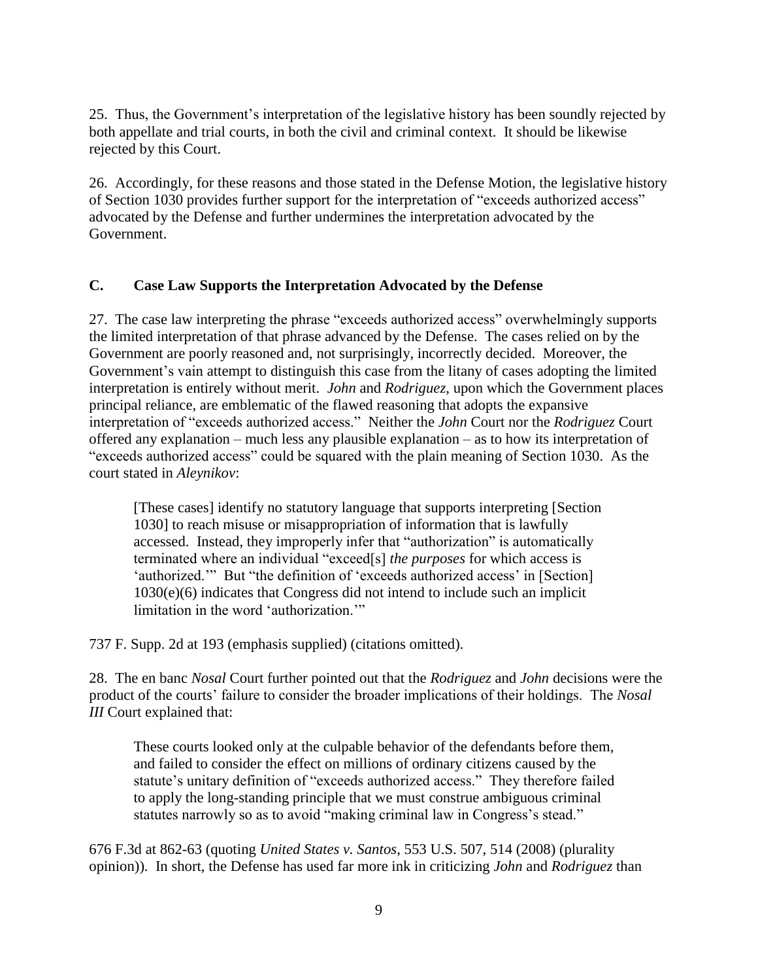25. Thus, the Government's interpretation of the legislative history has been soundly rejected by both appellate and trial courts, in both the civil and criminal context. It should be likewise rejected by this Court.

26. Accordingly, for these reasons and those stated in the Defense Motion, the legislative history of Section 1030 provides further support for the interpretation of "exceeds authorized access" advocated by the Defense and further undermines the interpretation advocated by the Government.

## **C. Case Law Supports the Interpretation Advocated by the Defense**

27. The case law interpreting the phrase "exceeds authorized access" overwhelmingly supports the limited interpretation of that phrase advanced by the Defense. The cases relied on by the Government are poorly reasoned and, not surprisingly, incorrectly decided. Moreover, the Government's vain attempt to distinguish this case from the litany of cases adopting the limited interpretation is entirely without merit. *John* and *Rodriguez*, upon which the Government places principal reliance, are emblematic of the flawed reasoning that adopts the expansive interpretation of "exceeds authorized access." Neither the *John* Court nor the *Rodriguez* Court offered any explanation – much less any plausible explanation – as to how its interpretation of "exceeds authorized access" could be squared with the plain meaning of Section 1030. As the court stated in *Aleynikov*:

[These cases] identify no statutory language that supports interpreting [Section 1030] to reach misuse or misappropriation of information that is lawfully accessed. Instead, they improperly infer that "authorization" is automatically terminated where an individual "exceed[s] *the purposes* for which access is 'authorized.'" But "the definition of 'exceeds authorized access' in [Section] 1030(e)(6) indicates that Congress did not intend to include such an implicit limitation in the word 'authorization.'"

737 F. Supp. 2d at 193 (emphasis supplied) (citations omitted).

28. The en banc *Nosal* Court further pointed out that the *Rodriguez* and *John* decisions were the product of the courts' failure to consider the broader implications of their holdings. The *Nosal III* Court explained that:

These courts looked only at the culpable behavior of the defendants before them, and failed to consider the effect on millions of ordinary citizens caused by the statute's unitary definition of "exceeds authorized access." They therefore failed to apply the long-standing principle that we must construe ambiguous criminal statutes narrowly so as to avoid "making criminal law in Congress's stead."

676 F.3d at 862-63 (quoting *United States v. Santos*, 553 U.S. 507, 514 (2008) (plurality opinion)). In short, the Defense has used far more ink in criticizing *John* and *Rodriguez* than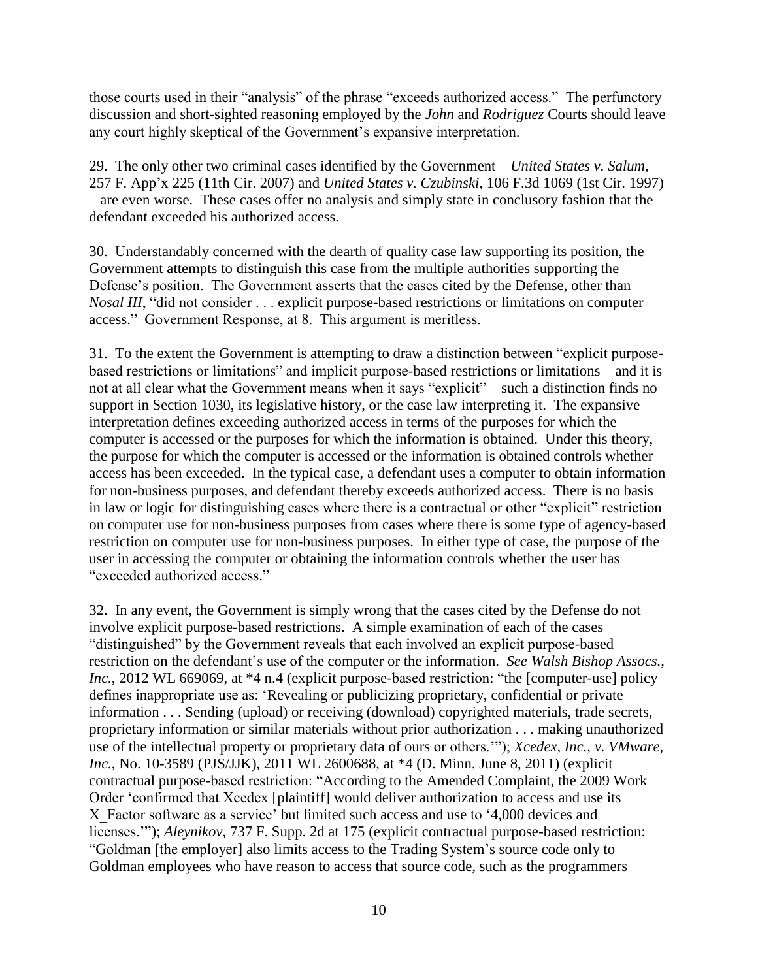those courts used in their "analysis" of the phrase "exceeds authorized access." The perfunctory discussion and short-sighted reasoning employed by the *John* and *Rodriguez* Courts should leave any court highly skeptical of the Government's expansive interpretation.

29. The only other two criminal cases identified by the Government – *United States v. Salum*, 257 F. App'x 225 (11th Cir. 2007) and *United States v. Czubinski*, 106 F.3d 1069 (1st Cir. 1997) – are even worse. These cases offer no analysis and simply state in conclusory fashion that the defendant exceeded his authorized access.

30. Understandably concerned with the dearth of quality case law supporting its position, the Government attempts to distinguish this case from the multiple authorities supporting the Defense's position. The Government asserts that the cases cited by the Defense, other than *Nosal III*, "did not consider . . . explicit purpose-based restrictions or limitations on computer access." Government Response, at 8. This argument is meritless.

31. To the extent the Government is attempting to draw a distinction between "explicit purposebased restrictions or limitations" and implicit purpose-based restrictions or limitations – and it is not at all clear what the Government means when it says "explicit" – such a distinction finds no support in Section 1030, its legislative history, or the case law interpreting it. The expansive interpretation defines exceeding authorized access in terms of the purposes for which the computer is accessed or the purposes for which the information is obtained. Under this theory, the purpose for which the computer is accessed or the information is obtained controls whether access has been exceeded. In the typical case, a defendant uses a computer to obtain information for non-business purposes, and defendant thereby exceeds authorized access. There is no basis in law or logic for distinguishing cases where there is a contractual or other "explicit" restriction on computer use for non-business purposes from cases where there is some type of agency-based restriction on computer use for non-business purposes. In either type of case, the purpose of the user in accessing the computer or obtaining the information controls whether the user has "exceeded authorized access."

32. In any event, the Government is simply wrong that the cases cited by the Defense do not involve explicit purpose-based restrictions. A simple examination of each of the cases "distinguished" by the Government reveals that each involved an explicit purpose-based restriction on the defendant's use of the computer or the information. *See Walsh Bishop Assocs., Inc.*, 2012 WL 669069, at \*4 n.4 (explicit purpose-based restriction: "the [computer-use] policy defines inappropriate use as: 'Revealing or publicizing proprietary, confidential or private information . . . Sending (upload) or receiving (download) copyrighted materials, trade secrets, proprietary information or similar materials without prior authorization . . . making unauthorized use of the intellectual property or proprietary data of ours or others.'"); *Xcedex, Inc., v. VMware, Inc.*, No. 10-3589 (PJS/JJK), 2011 WL 2600688, at \*4 (D. Minn. June 8, 2011) (explicit contractual purpose-based restriction: "According to the Amended Complaint, the 2009 Work Order 'confirmed that Xcedex [plaintiff] would deliver authorization to access and use its X Factor software as a service' but limited such access and use to '4,000 devices and licenses.'"); *Aleynikov*, 737 F. Supp. 2d at 175 (explicit contractual purpose-based restriction: "Goldman [the employer] also limits access to the Trading System's source code only to Goldman employees who have reason to access that source code, such as the programmers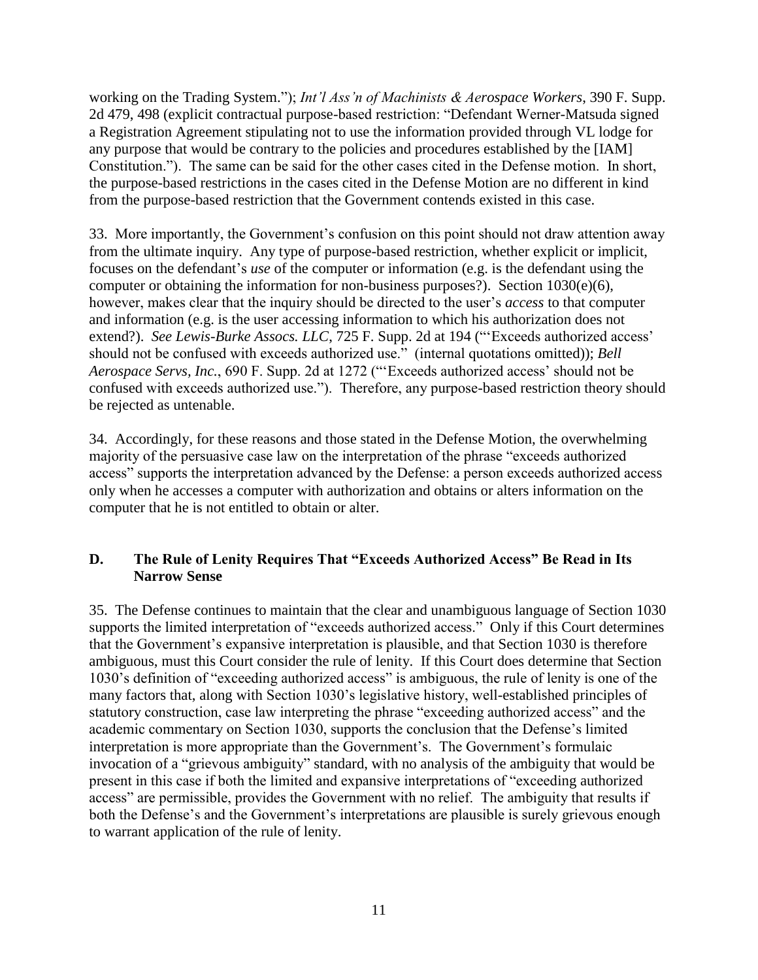working on the Trading System."); *Int'l Ass'n of Machinists & Aerospace Workers*, 390 F. Supp. 2d 479, 498 (explicit contractual purpose-based restriction: "Defendant Werner-Matsuda signed a Registration Agreement stipulating not to use the information provided through VL lodge for any purpose that would be contrary to the policies and procedures established by the [IAM] Constitution."). The same can be said for the other cases cited in the Defense motion. In short, the purpose-based restrictions in the cases cited in the Defense Motion are no different in kind from the purpose-based restriction that the Government contends existed in this case.

33. More importantly, the Government's confusion on this point should not draw attention away from the ultimate inquiry. Any type of purpose-based restriction, whether explicit or implicit, focuses on the defendant's *use* of the computer or information (e.g. is the defendant using the computer or obtaining the information for non-business purposes?). Section 1030(e)(6), however, makes clear that the inquiry should be directed to the user's *access* to that computer and information (e.g. is the user accessing information to which his authorization does not extend?). *See Lewis-Burke Assocs. LLC*, 725 F. Supp. 2d at 194 ("'Exceeds authorized access' should not be confused with exceeds authorized use." (internal quotations omitted)); *Bell Aerospace Servs, Inc.*, 690 F. Supp. 2d at 1272 ("'Exceeds authorized access' should not be confused with exceeds authorized use."). Therefore, any purpose-based restriction theory should be rejected as untenable.

34. Accordingly, for these reasons and those stated in the Defense Motion, the overwhelming majority of the persuasive case law on the interpretation of the phrase "exceeds authorized access" supports the interpretation advanced by the Defense: a person exceeds authorized access only when he accesses a computer with authorization and obtains or alters information on the computer that he is not entitled to obtain or alter.

## **D. The Rule of Lenity Requires That "Exceeds Authorized Access" Be Read in Its Narrow Sense**

35. The Defense continues to maintain that the clear and unambiguous language of Section 1030 supports the limited interpretation of "exceeds authorized access." Only if this Court determines that the Government's expansive interpretation is plausible, and that Section 1030 is therefore ambiguous, must this Court consider the rule of lenity. If this Court does determine that Section 1030's definition of "exceeding authorized access" is ambiguous, the rule of lenity is one of the many factors that, along with Section 1030's legislative history, well-established principles of statutory construction, case law interpreting the phrase "exceeding authorized access" and the academic commentary on Section 1030, supports the conclusion that the Defense's limited interpretation is more appropriate than the Government's. The Government's formulaic invocation of a "grievous ambiguity" standard, with no analysis of the ambiguity that would be present in this case if both the limited and expansive interpretations of "exceeding authorized access" are permissible, provides the Government with no relief. The ambiguity that results if both the Defense's and the Government's interpretations are plausible is surely grievous enough to warrant application of the rule of lenity.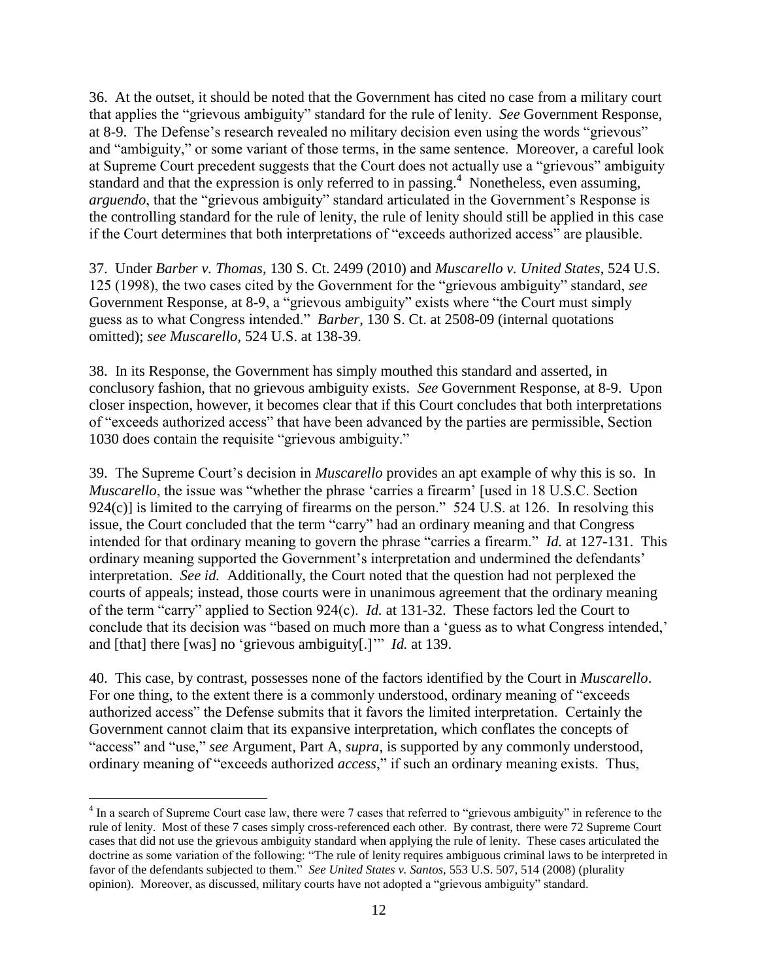36. At the outset, it should be noted that the Government has cited no case from a military court that applies the "grievous ambiguity" standard for the rule of lenity. *See* Government Response, at 8-9. The Defense's research revealed no military decision even using the words "grievous" and "ambiguity," or some variant of those terms, in the same sentence. Moreover, a careful look at Supreme Court precedent suggests that the Court does not actually use a "grievous" ambiguity standard and that the expression is only referred to in passing.<sup>4</sup> Nonetheless, even assuming, *arguendo*, that the "grievous ambiguity" standard articulated in the Government's Response is the controlling standard for the rule of lenity, the rule of lenity should still be applied in this case if the Court determines that both interpretations of "exceeds authorized access" are plausible.

37. Under *Barber v. Thomas*, 130 S. Ct. 2499 (2010) and *Muscarello v. United States*, 524 U.S. 125 (1998), the two cases cited by the Government for the "grievous ambiguity" standard, *see* Government Response, at 8-9, a "grievous ambiguity" exists where "the Court must simply guess as to what Congress intended." *Barber*, 130 S. Ct. at 2508-09 (internal quotations omitted); *see Muscarello*, 524 U.S. at 138-39.

38. In its Response, the Government has simply mouthed this standard and asserted, in conclusory fashion, that no grievous ambiguity exists. *See* Government Response, at 8-9. Upon closer inspection, however, it becomes clear that if this Court concludes that both interpretations of "exceeds authorized access" that have been advanced by the parties are permissible, Section 1030 does contain the requisite "grievous ambiguity."

39. The Supreme Court's decision in *Muscarello* provides an apt example of why this is so. In *Muscarello*, the issue was "whether the phrase 'carries a firearm' [used in 18 U.S.C. Section  $924(c)$  is limited to the carrying of firearms on the person." 524 U.S. at 126. In resolving this issue, the Court concluded that the term "carry" had an ordinary meaning and that Congress intended for that ordinary meaning to govern the phrase "carries a firearm." *Id.* at 127-131. This ordinary meaning supported the Government's interpretation and undermined the defendants' interpretation. *See id.* Additionally, the Court noted that the question had not perplexed the courts of appeals; instead, those courts were in unanimous agreement that the ordinary meaning of the term "carry" applied to Section 924(c). *Id.* at 131-32. These factors led the Court to conclude that its decision was "based on much more than a 'guess as to what Congress intended,' and [that] there [was] no 'grievous ambiguity[.]'" *Id.* at 139.

40. This case, by contrast, possesses none of the factors identified by the Court in *Muscarello*. For one thing, to the extent there is a commonly understood, ordinary meaning of "exceeds authorized access" the Defense submits that it favors the limited interpretation. Certainly the Government cannot claim that its expansive interpretation, which conflates the concepts of "access" and "use," *see* Argument, Part A, *supra*, is supported by any commonly understood, ordinary meaning of "exceeds authorized *access*," if such an ordinary meaning exists. Thus,

 $\overline{a}$ 

<sup>&</sup>lt;sup>4</sup> In a search of Supreme Court case law, there were 7 cases that referred to "grievous ambiguity" in reference to the rule of lenity. Most of these 7 cases simply cross-referenced each other. By contrast, there were 72 Supreme Court cases that did not use the grievous ambiguity standard when applying the rule of lenity. These cases articulated the doctrine as some variation of the following: "The rule of lenity requires ambiguous criminal laws to be interpreted in favor of the defendants subjected to them." *See United States v. Santos,* 553 U.S. 507, 514 (2008) (plurality opinion). Moreover, as discussed, military courts have not adopted a "grievous ambiguity" standard.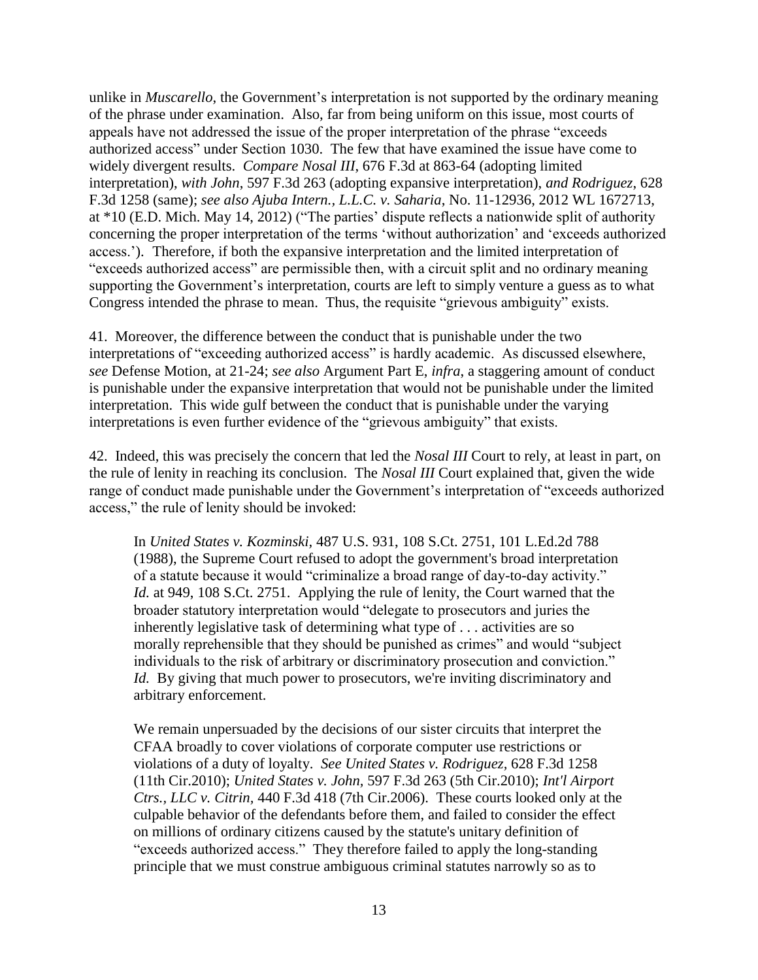unlike in *Muscarello*, the Government's interpretation is not supported by the ordinary meaning of the phrase under examination. Also, far from being uniform on this issue, most courts of appeals have not addressed the issue of the proper interpretation of the phrase "exceeds authorized access" under Section 1030. The few that have examined the issue have come to widely divergent results. *Compare Nosal III*, 676 F.3d at 863-64 (adopting limited interpretation), *with John*, 597 F.3d 263 (adopting expansive interpretation), *and Rodriguez*, 628 F.3d 1258 (same); *see also Ajuba Intern., L.L.C. v. Saharia*, No. 11-12936, 2012 WL 1672713, at \*10 (E.D. Mich. May 14, 2012) ("The parties' dispute reflects a nationwide split of authority concerning the proper interpretation of the terms 'without authorization' and 'exceeds authorized access.'). Therefore, if both the expansive interpretation and the limited interpretation of "exceeds authorized access" are permissible then, with a circuit split and no ordinary meaning supporting the Government's interpretation, courts are left to simply venture a guess as to what Congress intended the phrase to mean. Thus, the requisite "grievous ambiguity" exists.

41. Moreover, the difference between the conduct that is punishable under the two interpretations of "exceeding authorized access" is hardly academic. As discussed elsewhere, *see* Defense Motion, at 21-24; *see also* Argument Part E, *infra*, a staggering amount of conduct is punishable under the expansive interpretation that would not be punishable under the limited interpretation. This wide gulf between the conduct that is punishable under the varying interpretations is even further evidence of the "grievous ambiguity" that exists.

42. Indeed, this was precisely the concern that led the *Nosal III* Court to rely, at least in part, on the rule of lenity in reaching its conclusion. The *Nosal III* Court explained that, given the wide range of conduct made punishable under the Government's interpretation of "exceeds authorized access," the rule of lenity should be invoked:

In *United States v. Kozminski,* 487 U.S. 931, 108 S.Ct. 2751, 101 L.Ed.2d 788 (1988), the Supreme Court refused to adopt the government's broad interpretation of a statute because it would "criminalize a broad range of day-to-day activity." *Id.* at 949, 108 S.Ct. 2751. Applying the rule of lenity, the Court warned that the broader statutory interpretation would "delegate to prosecutors and juries the inherently legislative task of determining what type of . . . activities are so morally reprehensible that they should be punished as crimes" and would "subject individuals to the risk of arbitrary or discriminatory prosecution and conviction." *Id.* By giving that much power to prosecutors, we're inviting discriminatory and arbitrary enforcement.

We remain unpersuaded by the decisions of our sister circuits that interpret the CFAA broadly to cover violations of corporate computer use restrictions or violations of a duty of loyalty. *See United States v. Rodriguez,* 628 F.3d 1258 (11th Cir.2010); *United States v. John,* 597 F.3d 263 (5th Cir.2010); *Int'l Airport Ctrs., LLC v. Citrin,* 440 F.3d 418 (7th Cir.2006). These courts looked only at the culpable behavior of the defendants before them, and failed to consider the effect on millions of ordinary citizens caused by the statute's unitary definition of "exceeds authorized access." They therefore failed to apply the long-standing principle that we must construe ambiguous criminal statutes narrowly so as to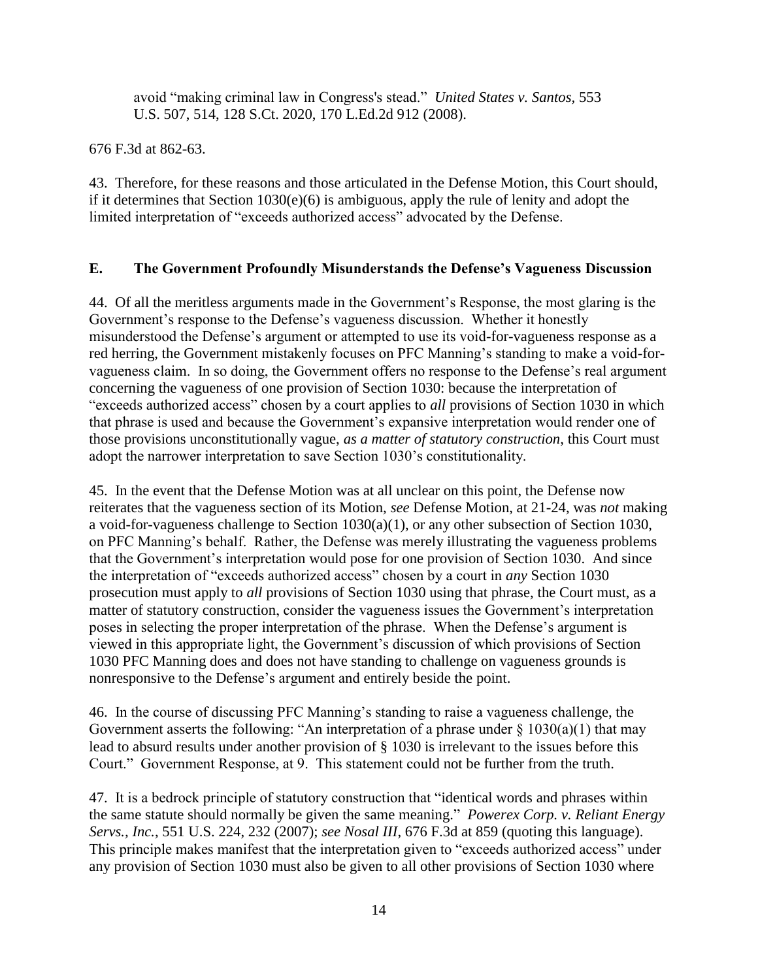avoid "making criminal law in Congress's stead." *United States v. Santos,* 553 U.S. 507, 514, 128 S.Ct. 2020, 170 L.Ed.2d 912 (2008).

676 F.3d at 862-63.

43. Therefore, for these reasons and those articulated in the Defense Motion, this Court should, if it determines that Section 1030(e)(6) is ambiguous, apply the rule of lenity and adopt the limited interpretation of "exceeds authorized access" advocated by the Defense.

# **E. The Government Profoundly Misunderstands the Defense's Vagueness Discussion**

44. Of all the meritless arguments made in the Government's Response, the most glaring is the Government's response to the Defense's vagueness discussion. Whether it honestly misunderstood the Defense's argument or attempted to use its void-for-vagueness response as a red herring, the Government mistakenly focuses on PFC Manning's standing to make a void-forvagueness claim. In so doing, the Government offers no response to the Defense's real argument concerning the vagueness of one provision of Section 1030: because the interpretation of "exceeds authorized access" chosen by a court applies to *all* provisions of Section 1030 in which that phrase is used and because the Government's expansive interpretation would render one of those provisions unconstitutionally vague, *as a matter of statutory construction*, this Court must adopt the narrower interpretation to save Section 1030's constitutionality.

45. In the event that the Defense Motion was at all unclear on this point, the Defense now reiterates that the vagueness section of its Motion, *see* Defense Motion, at 21-24, was *not* making a void-for-vagueness challenge to Section 1030(a)(1), or any other subsection of Section 1030, on PFC Manning's behalf. Rather, the Defense was merely illustrating the vagueness problems that the Government's interpretation would pose for one provision of Section 1030. And since the interpretation of "exceeds authorized access" chosen by a court in *any* Section 1030 prosecution must apply to *all* provisions of Section 1030 using that phrase, the Court must, as a matter of statutory construction, consider the vagueness issues the Government's interpretation poses in selecting the proper interpretation of the phrase. When the Defense's argument is viewed in this appropriate light, the Government's discussion of which provisions of Section 1030 PFC Manning does and does not have standing to challenge on vagueness grounds is nonresponsive to the Defense's argument and entirely beside the point.

46. In the course of discussing PFC Manning's standing to raise a vagueness challenge, the Government asserts the following: "An interpretation of a phrase under  $\S 1030(a)(1)$  that may lead to absurd results under another provision of § 1030 is irrelevant to the issues before this Court." Government Response, at 9. This statement could not be further from the truth.

47. It is a bedrock principle of statutory construction that "identical words and phrases within the same statute should normally be given the same meaning." *Powerex Corp. v. Reliant Energy Servs., Inc.*, 551 U.S. 224, 232 (2007); *see Nosal III*, 676 F.3d at 859 (quoting this language). This principle makes manifest that the interpretation given to "exceeds authorized access" under any provision of Section 1030 must also be given to all other provisions of Section 1030 where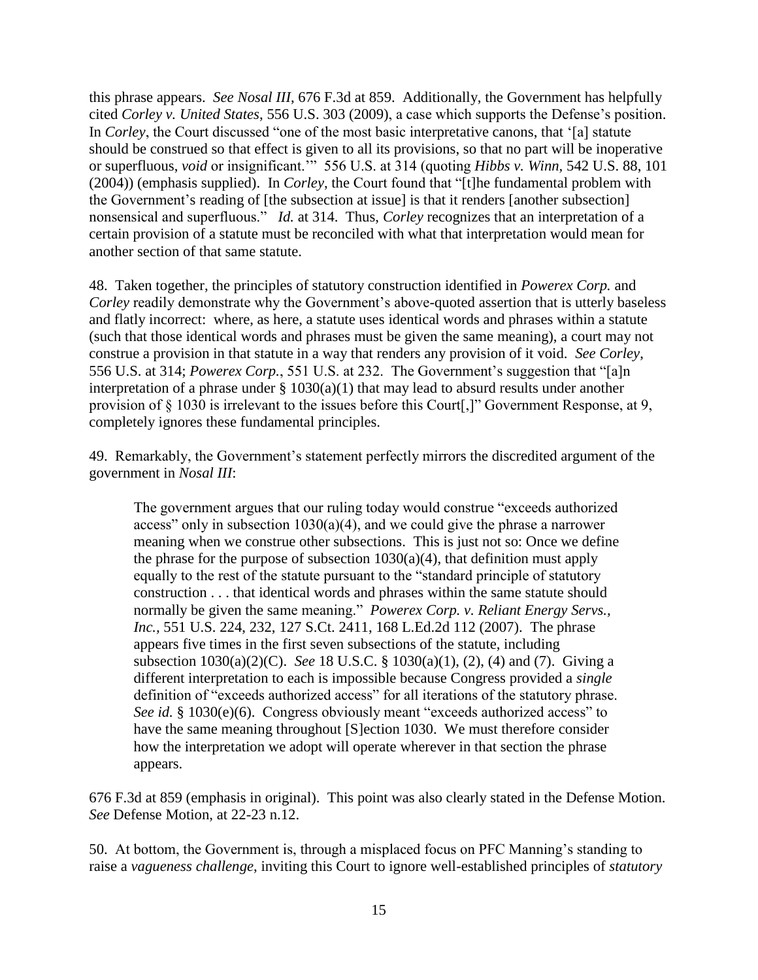this phrase appears. *See Nosal III*, 676 F.3d at 859. Additionally, the Government has helpfully cited *Corley v. United States*, 556 U.S. 303 (2009), a case which supports the Defense's position. In *Corley*, the Court discussed "one of the most basic interpretative canons, that '[a] statute should be construed so that effect is given to all its provisions, so that no part will be inoperative or superfluous, *void* or insignificant.'" 556 U.S. at 314 (quoting *Hibbs v. Winn,* 542 U.S. 88, 101 (2004)) (emphasis supplied). In *Corley*, the Court found that "[t]he fundamental problem with the Government's reading of [the subsection at issue] is that it renders [another subsection] nonsensical and superfluous." *Id.* at 314. Thus, *Corley* recognizes that an interpretation of a certain provision of a statute must be reconciled with what that interpretation would mean for another section of that same statute.

48. Taken together, the principles of statutory construction identified in *Powerex Corp.* and *Corley* readily demonstrate why the Government's above-quoted assertion that is utterly baseless and flatly incorrect: where, as here, a statute uses identical words and phrases within a statute (such that those identical words and phrases must be given the same meaning), a court may not construe a provision in that statute in a way that renders any provision of it void. *See Corley*, 556 U.S. at 314; *Powerex Corp.*, 551 U.S. at 232. The Government's suggestion that "[a]n interpretation of a phrase under  $\S$  1030(a)(1) that may lead to absurd results under another provision of § 1030 is irrelevant to the issues before this Court[,]" Government Response, at 9, completely ignores these fundamental principles.

49. Remarkably, the Government's statement perfectly mirrors the discredited argument of the government in *Nosal III*:

The government argues that our ruling today would construe "exceeds authorized access" only in subsection  $1030(a)(4)$ , and we could give the phrase a narrower meaning when we construe other subsections. This is just not so: Once we define the phrase for the purpose of subsection  $1030(a)(4)$ , that definition must apply equally to the rest of the statute pursuant to the "standard principle of statutory construction . . . that identical words and phrases within the same statute should normally be given the same meaning." *Powerex Corp. v. Reliant Energy Servs., Inc.,* 551 U.S. 224, 232, 127 S.Ct. 2411, 168 L.Ed.2d 112 (2007). The phrase appears five times in the first seven subsections of the statute, including subsection 1030(a)(2)(C). *See* 18 U.S.C. § 1030(a)(1), (2), (4) and (7). Giving a different interpretation to each is impossible because Congress provided a *single* definition of "exceeds authorized access" for all iterations of the statutory phrase. *See id.* § 1030(e)(6). Congress obviously meant "exceeds authorized access" to have the same meaning throughout [S]ection 1030. We must therefore consider how the interpretation we adopt will operate wherever in that section the phrase appears.

676 F.3d at 859 (emphasis in original). This point was also clearly stated in the Defense Motion. *See* Defense Motion, at 22-23 n.12.

50. At bottom, the Government is, through a misplaced focus on PFC Manning's standing to raise a *vagueness challenge*, inviting this Court to ignore well-established principles of *statutory*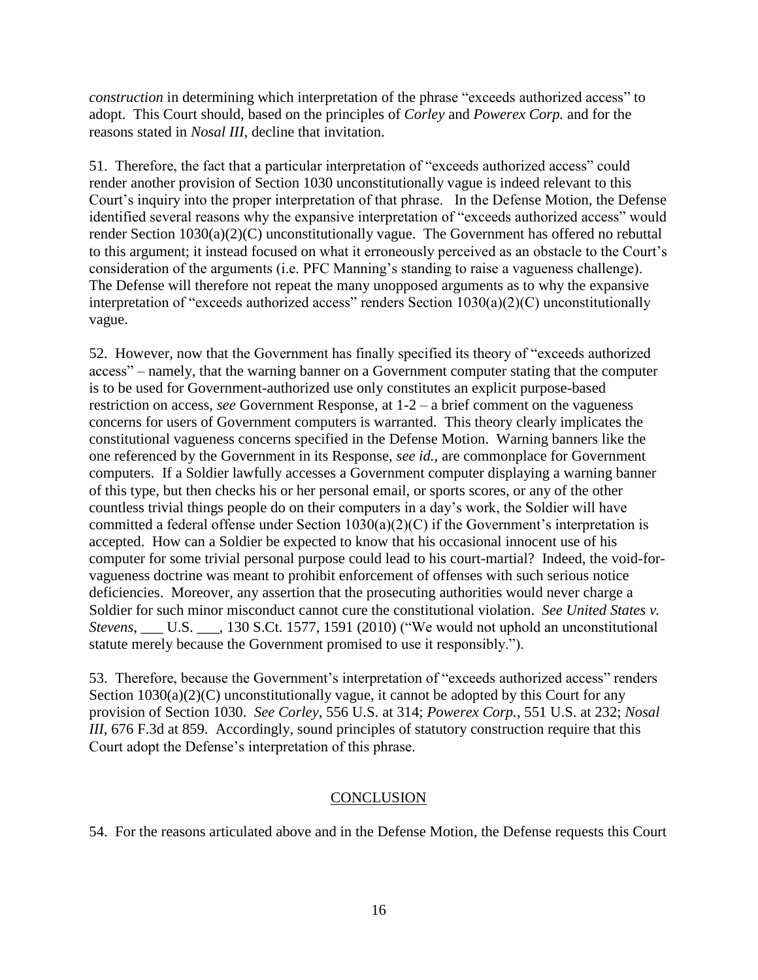*construction* in determining which interpretation of the phrase "exceeds authorized access" to adopt. This Court should, based on the principles of *Corley* and *Powerex Corp.* and for the reasons stated in *Nosal III*, decline that invitation.

51. Therefore, the fact that a particular interpretation of "exceeds authorized access" could render another provision of Section 1030 unconstitutionally vague is indeed relevant to this Court's inquiry into the proper interpretation of that phrase. In the Defense Motion, the Defense identified several reasons why the expansive interpretation of "exceeds authorized access" would render Section 1030(a)(2)(C) unconstitutionally vague. The Government has offered no rebuttal to this argument; it instead focused on what it erroneously perceived as an obstacle to the Court's consideration of the arguments (i.e. PFC Manning's standing to raise a vagueness challenge). The Defense will therefore not repeat the many unopposed arguments as to why the expansive interpretation of "exceeds authorized access" renders Section 1030(a)(2)(C) unconstitutionally vague.

52. However, now that the Government has finally specified its theory of "exceeds authorized access" – namely, that the warning banner on a Government computer stating that the computer is to be used for Government-authorized use only constitutes an explicit purpose-based restriction on access, *see* Government Response, at 1-2 – a brief comment on the vagueness concerns for users of Government computers is warranted. This theory clearly implicates the constitutional vagueness concerns specified in the Defense Motion. Warning banners like the one referenced by the Government in its Response, *see id.*, are commonplace for Government computers. If a Soldier lawfully accesses a Government computer displaying a warning banner of this type, but then checks his or her personal email, or sports scores, or any of the other countless trivial things people do on their computers in a day's work, the Soldier will have committed a federal offense under Section 1030(a)(2)(C) if the Government's interpretation is accepted. How can a Soldier be expected to know that his occasional innocent use of his computer for some trivial personal purpose could lead to his court-martial? Indeed, the void-forvagueness doctrine was meant to prohibit enforcement of offenses with such serious notice deficiencies. Moreover, any assertion that the prosecuting authorities would never charge a Soldier for such minor misconduct cannot cure the constitutional violation. *See United States v. Stevens*, \_\_\_ U.S. \_\_\_, 130 S.Ct. 1577, 1591 (2010) ("We would not uphold an unconstitutional statute merely because the Government promised to use it responsibly.").

53. Therefore, because the Government's interpretation of "exceeds authorized access" renders Section 1030(a)(2)(C) unconstitutionally vague, it cannot be adopted by this Court for any provision of Section 1030. *See Corley*, 556 U.S. at 314; *Powerex Corp.*, 551 U.S. at 232; *Nosal III*, 676 F.3d at 859. Accordingly, sound principles of statutory construction require that this Court adopt the Defense's interpretation of this phrase.

## **CONCLUSION**

54. For the reasons articulated above and in the Defense Motion, the Defense requests this Court